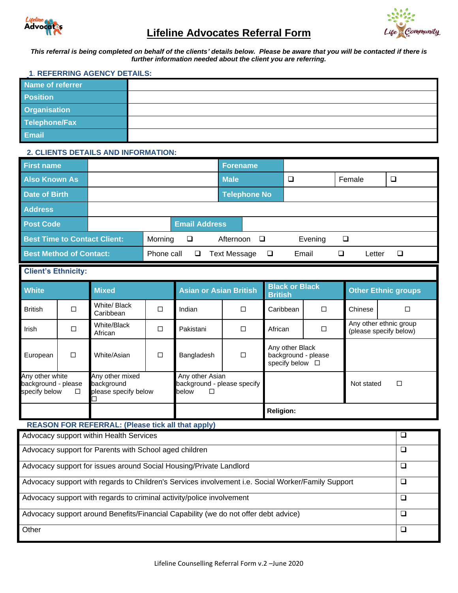

# **Lifeline Advocates Referral Form**



*This referral is being completed on behalf of the clients' details below. Please be aware that you will be contacted if there is further information needed about the client you are referring.* 

#### **1**. **REFERRING AGENCY DETAILS:**

| Name of referrer    |  |
|---------------------|--|
| <b>Position</b>     |  |
| <b>Organisation</b> |  |
| Telephone/Fax       |  |
| Email               |  |

# **2. CLIENTS DETAILS AND INFORMATION:**

| <b>First name</b>                   |                 |         |                      | <b>Forename</b> |                     |         |        |   |  |  |
|-------------------------------------|-----------------|---------|----------------------|-----------------|---------------------|---------|--------|---|--|--|
| <b>Also Known As</b>                |                 |         |                      | <b>Male</b>     |                     | $\Box$  | Female |   |  |  |
| <b>Date of Birth</b>                |                 |         |                      |                 | <b>Telephone No</b> |         |        |   |  |  |
| <b>Address</b>                      |                 |         |                      |                 |                     |         |        |   |  |  |
| <b>Post Code</b>                    |                 |         | <b>Email Address</b> |                 |                     |         |        |   |  |  |
| <b>Best Time to Contact Client:</b> |                 | Morning | □                    |                 | Afternoon $\square$ | Evening | ❏      |   |  |  |
| <b>Best Method of Contact:</b>      | Phone call<br>□ |         | <b>Text Message</b>  | ❏               | Email               |         | Letter | ❏ |  |  |

# **Client's Ethnicity:**

| <b>White</b>                                                                                                               |        | <b>Mixed</b>                                                      |   | Asian or Asian British <sup>'</sup> |        | <b>Black or Black</b><br><b>British</b>                   |        | <b>Other Ethnic groups</b> |                                                  |  |
|----------------------------------------------------------------------------------------------------------------------------|--------|-------------------------------------------------------------------|---|-------------------------------------|--------|-----------------------------------------------------------|--------|----------------------------|--------------------------------------------------|--|
| <b>British</b>                                                                                                             | П      | White/ Black<br>Caribbean                                         | П | Indian                              | П      | $\Box$<br>Caribbean                                       |        | Chinese                    | □                                                |  |
| Irish                                                                                                                      | $\Box$ | White/Black<br>African                                            | П | Pakistani                           | $\Box$ | $\Box$<br>African                                         |        |                            | Any other ethnic group<br>(please specify below) |  |
| European                                                                                                                   | $\Box$ | White/Asian                                                       | □ | Bangladesh                          | $\Box$ | Any other Black<br>background - please<br>specify below □ |        |                            |                                                  |  |
| Any other white<br>Any other mixed<br>background - please<br>background<br>specify below<br>$\Box$<br>please specify below |        | Any other Asian<br>background - please specify<br>$\Box$<br>below |   |                                     |        | Not stated                                                | $\Box$ |                            |                                                  |  |
|                                                                                                                            |        |                                                                   |   | <b>Religion:</b>                    |        |                                                           |        |                            |                                                  |  |

# **REASON FOR REFERRAL: (Please tick all that apply)**

| Advocacy support within Health Services                                                            | $\Box$ |
|----------------------------------------------------------------------------------------------------|--------|
| Advocacy support for Parents with School aged children                                             | ⊔      |
| Advocacy support for issues around Social Housing/Private Landlord                                 | ⊔      |
| Advocacy support with regards to Children's Services involvement i.e. Social Worker/Family Support | $\Box$ |
| Advocacy support with regards to criminal activity/police involvement                              | ⊔      |
| Advocacy support around Benefits/Financial Capability (we do not offer debt advice)                |        |
| Other                                                                                              | ⊔      |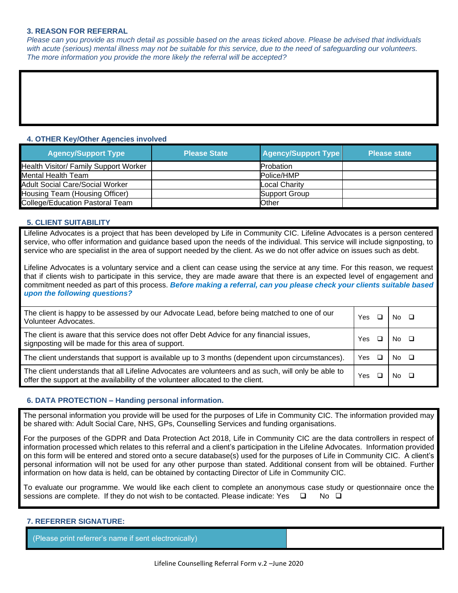#### **3. REASON FOR REFERRAL**

*Please can you provide as much detail as possible based on the areas ticked above. Please be advised that individuals*  with acute (serious) mental illness may not be suitable for this service, due to the need of safeguarding our volunteers. *The more information you provide the more likely the referral will be accepted?*

#### **4. OTHER Key/Other Agencies involved**

| <b>Agency/Support Type</b>             | <b>Please State</b> | <b>Agency/Support Type</b> | <b>Please state</b> |
|----------------------------------------|---------------------|----------------------------|---------------------|
| Health Visitor/ Family Support Worker  |                     | <b>Probation</b>           |                     |
| Mental Health Team                     |                     | Police/HMP                 |                     |
| <b>Adult Social Care/Social Worker</b> |                     | <b>Local Charity</b>       |                     |
| Housing Team (Housing Officer)         |                     | Support Group              |                     |
| College/Education Pastoral Team        |                     | Other                      |                     |

## **5. CLIENT SUITABILITY**

Lifeline Advocates is a project that has been developed by Life in Community CIC. Lifeline Advocates is a person centered service, who offer information and guidance based upon the needs of the individual. This service will include signposting, to service who are specialist in the area of support needed by the client. As we do not offer advice on issues such as debt.

Lifeline Advocates is a voluntary service and a client can cease using the service at any time. For this reason, we request that if clients wish to participate in this service, they are made aware that there is an expected level of engagement and commitment needed as part of this process. *Before making a referral, can you please check your clients suitable based upon the following questions?* 

| The client is happy to be assessed by our Advocate Lead, before being matched to one of our<br>Volunteer Advocates.                                                                    | Yes  | No. |  |
|----------------------------------------------------------------------------------------------------------------------------------------------------------------------------------------|------|-----|--|
| The client is aware that this service does not offer Debt Advice for any financial issues,<br>signposting will be made for this area of support.                                       | Yes  | No. |  |
| The client understands that support is available up to 3 months (dependent upon circumstances).                                                                                        | Yes. | No. |  |
| The client understands that all Lifeline Advocates are volunteers and as such, will only be able to<br>offer the support at the availability of the volunteer allocated to the client. | Yes  | N٥  |  |

## **6. DATA PROTECTION – Handing personal information.**

The personal information you provide will be used for the purposes of Life in Community CIC. The information provided may be shared with: Adult Social Care, NHS, GPs, Counselling Services and funding organisations.

For the purposes of the GDPR and Data Protection Act 2018, Life in Community CIC are the data controllers in respect of information processed which relates to this referral and a client's participation in the Lifeline Advocates. Information provided on this form will be entered and stored onto a secure database(s) used for the purposes of Life in Community CIC. A client's personal information will not be used for any other purpose than stated. Additional consent from will be obtained. Further information on how data is held, can be obtained by contacting Director of Life in Community CIC.

To evaluate our programme. We would like each client to complete an anonymous case study or questionnaire once the sessions are complete. If they do not wish to be contacted. Please indicate: Yes  $\Box$  No  $\Box$ 

## **7. REFERRER SIGNATURE:**

(Please print referrer's name if sent electronically)